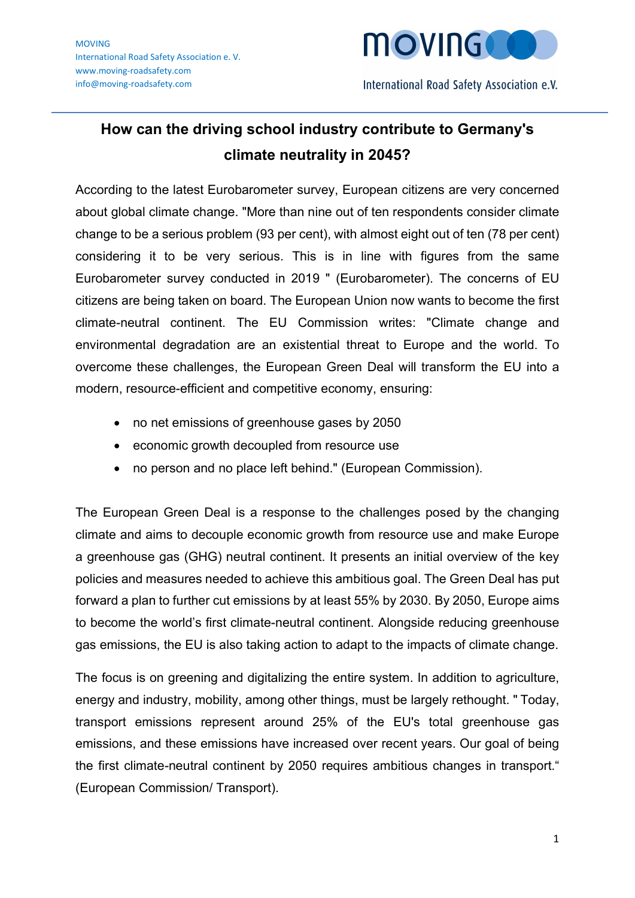

## How can the driving school industry contribute to Germany's climate neutrality in 2045?

According to the latest Eurobarometer survey, European citizens are very concerned about global climate change. "More than nine out of ten respondents consider climate change to be a serious problem (93 per cent), with almost eight out of ten (78 per cent) considering it to be very serious. This is in line with figures from the same Eurobarometer survey conducted in 2019 " (Eurobarometer). The concerns of EU citizens are being taken on board. The European Union now wants to become the first climate-neutral continent. The EU Commission writes: "Climate change and environmental degradation are an existential threat to Europe and the world. To overcome these challenges, the European Green Deal will transform the EU into a modern, resource-efficient and competitive economy, ensuring:

- no net emissions of greenhouse gases by 2050
- economic growth decoupled from resource use
- no person and no place left behind." (European Commission).

The European Green Deal is a response to the challenges posed by the changing climate and aims to decouple economic growth from resource use and make Europe a greenhouse gas (GHG) neutral continent. It presents an initial overview of the key policies and measures needed to achieve this ambitious goal. The Green Deal has put forward a plan to further cut emissions by at least 55% by 2030. By 2050, Europe aims to become the world's first climate-neutral continent. Alongside reducing greenhouse gas emissions, the EU is also taking action to adapt to the impacts of climate change.

The focus is on greening and digitalizing the entire system. In addition to agriculture, energy and industry, mobility, among other things, must be largely rethought. " Today, transport emissions represent around 25% of the EU's total greenhouse gas emissions, and these emissions have increased over recent years. Our goal of being the first climate-neutral continent by 2050 requires ambitious changes in transport." (European Commission/ Transport).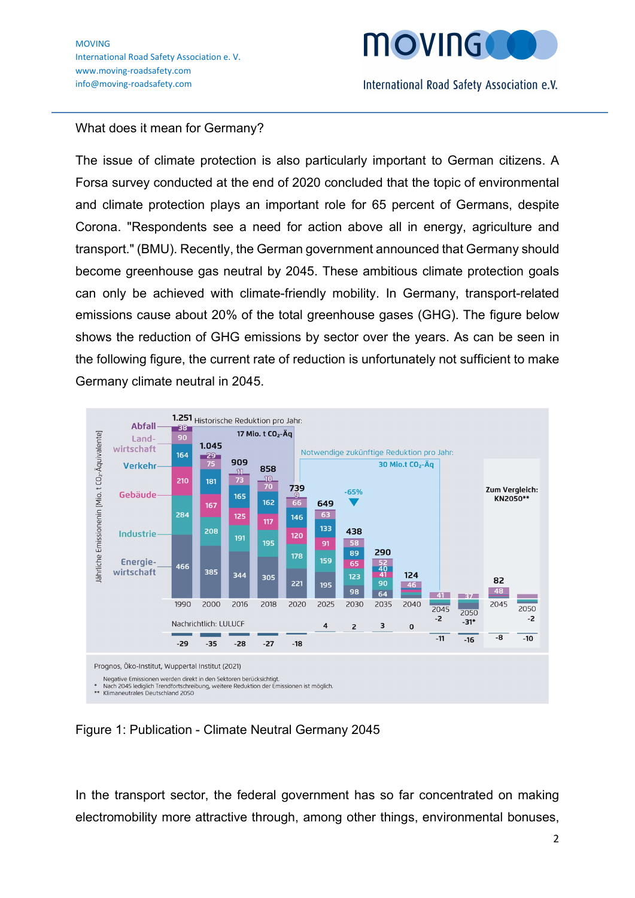

## What does it mean for Germany?

The issue of climate protection is also particularly important to German citizens. A Forsa survey conducted at the end of 2020 concluded that the topic of environmental and climate protection plays an important role for 65 percent of Germans, despite Corona. "Respondents see a need for action above all in energy, agriculture and transport." (BMU). Recently, the German government announced that Germany should become greenhouse gas neutral by 2045. These ambitious climate protection goals can only be achieved with climate-friendly mobility. In Germany, transport-related emissions cause about 20% of the total greenhouse gases (GHG). The figure below shows the reduction of GHG emissions by sector over the years. As can be seen in the following figure, the current rate of reduction is unfortunately not sufficient to make Germany climate neutral in 2045.



Figure 1: Publication - Climate Neutral Germany 2045

In the transport sector, the federal government has so far concentrated on making electromobility more attractive through, among other things, environmental bonuses,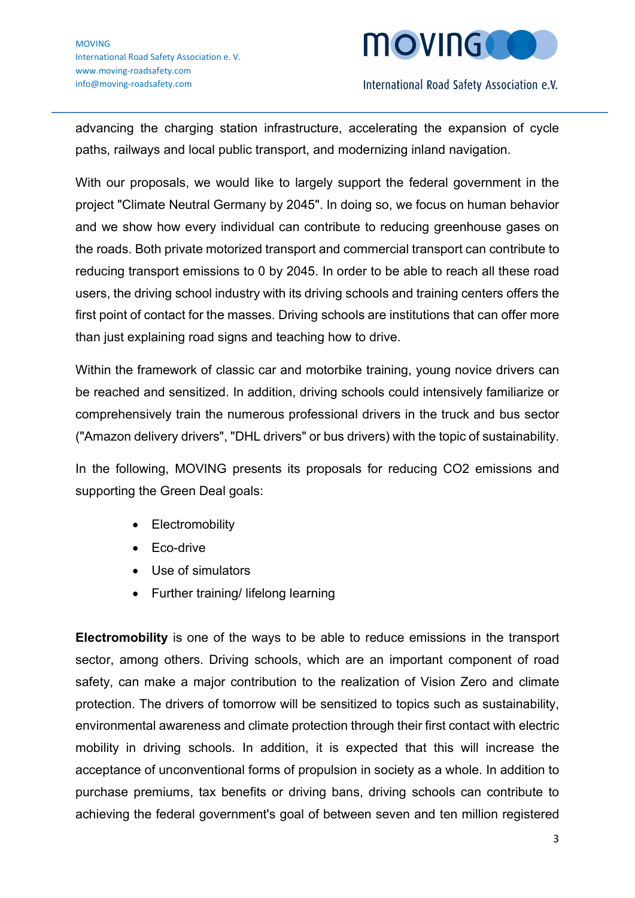

advancing the charging station infrastructure, accelerating the expansion of cycle paths, railways and local public transport, and modernizing inland navigation.

With our proposals, we would like to largely support the federal government in the project "Climate Neutral Germany by 2045". In doing so, we focus on human behavior and we show how every individual can contribute to reducing greenhouse gases on the roads. Both private motorized transport and commercial transport can contribute to reducing transport emissions to 0 by 2045. In order to be able to reach all these road users, the driving school industry with its driving schools and training centers offers the first point of contact for the masses. Driving schools are institutions that can offer more than just explaining road signs and teaching how to drive.

Within the framework of classic car and motorbike training, young novice drivers can be reached and sensitized. In addition, driving schools could intensively familiarize or comprehensively train the numerous professional drivers in the truck and bus sector ("Amazon delivery drivers", "DHL drivers" or bus drivers) with the topic of sustainability.

In the following, MOVING presents its proposals for reducing CO2 emissions and supporting the Green Deal goals:

- **Electromobility**
- Eco-drive
- Use of simulators
- Further training/ lifelong learning

Electromobility is one of the ways to be able to reduce emissions in the transport sector, among others. Driving schools, which are an important component of road safety, can make a major contribution to the realization of Vision Zero and climate protection. The drivers of tomorrow will be sensitized to topics such as sustainability, environmental awareness and climate protection through their first contact with electric mobility in driving schools. In addition, it is expected that this will increase the acceptance of unconventional forms of propulsion in society as a whole. In addition to purchase premiums, tax benefits or driving bans, driving schools can contribute to achieving the federal government's goal of between seven and ten million registered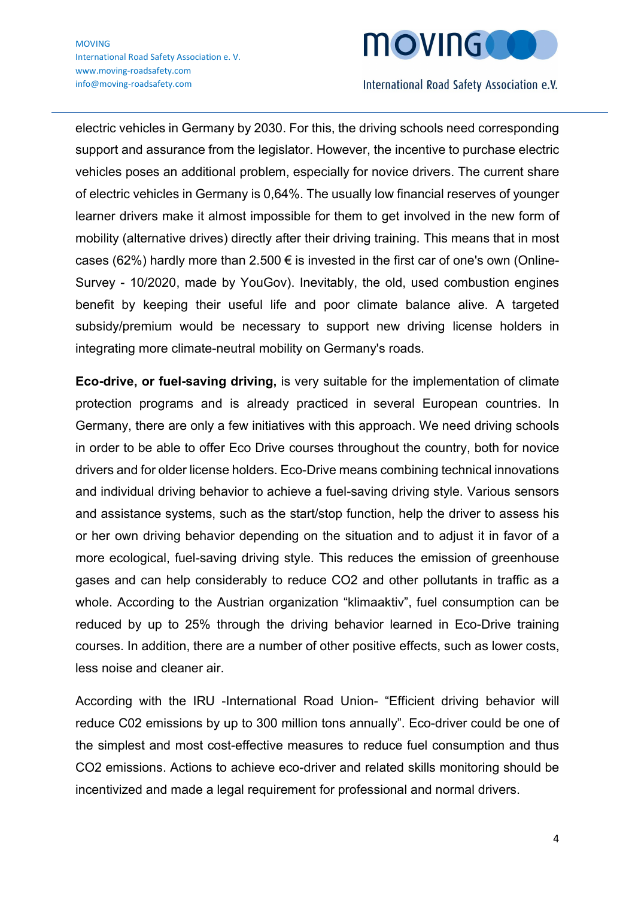

electric vehicles in Germany by 2030. For this, the driving schools need corresponding support and assurance from the legislator. However, the incentive to purchase electric vehicles poses an additional problem, especially for novice drivers. The current share of electric vehicles in Germany is 0,64%. The usually low financial reserves of younger learner drivers make it almost impossible for them to get involved in the new form of mobility (alternative drives) directly after their driving training. This means that in most cases (62%) hardly more than 2.500  $\epsilon$  is invested in the first car of one's own (Online-Survey - 10/2020, made by YouGov). Inevitably, the old, used combustion engines benefit by keeping their useful life and poor climate balance alive. A targeted subsidy/premium would be necessary to support new driving license holders in integrating more climate-neutral mobility on Germany's roads.

Eco-drive, or fuel-saving driving, is very suitable for the implementation of climate protection programs and is already practiced in several European countries. In Germany, there are only a few initiatives with this approach. We need driving schools in order to be able to offer Eco Drive courses throughout the country, both for novice drivers and for older license holders. Eco-Drive means combining technical innovations and individual driving behavior to achieve a fuel-saving driving style. Various sensors and assistance systems, such as the start/stop function, help the driver to assess his or her own driving behavior depending on the situation and to adjust it in favor of a more ecological, fuel-saving driving style. This reduces the emission of greenhouse gases and can help considerably to reduce CO2 and other pollutants in traffic as a whole. According to the Austrian organization "klimaaktiv", fuel consumption can be reduced by up to 25% through the driving behavior learned in Eco-Drive training courses. In addition, there are a number of other positive effects, such as lower costs, less noise and cleaner air.

According with the IRU -International Road Union- "Efficient driving behavior will reduce C02 emissions by up to 300 million tons annually". Eco-driver could be one of the simplest and most cost-effective measures to reduce fuel consumption and thus CO2 emissions. Actions to achieve eco-driver and related skills monitoring should be incentivized and made a legal requirement for professional and normal drivers.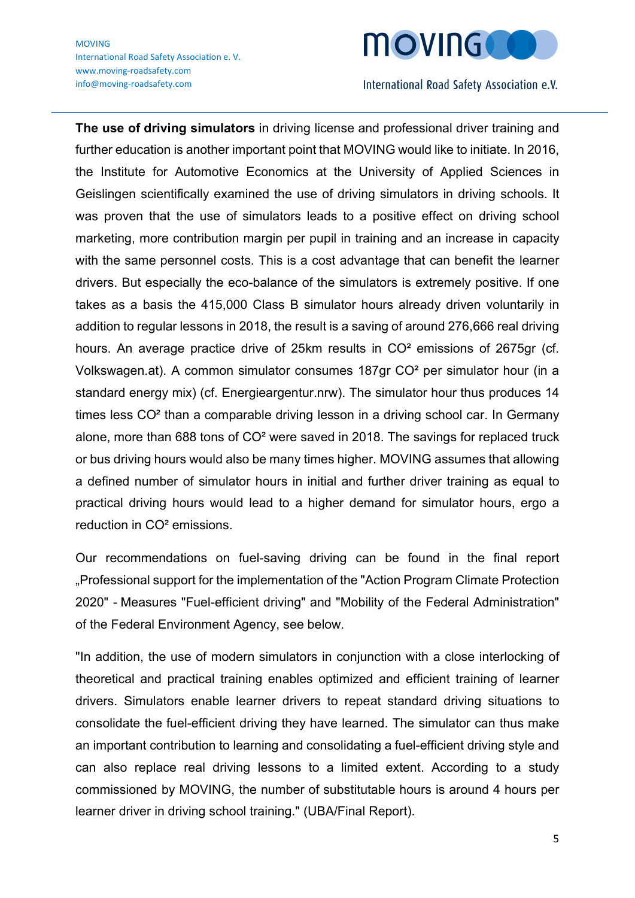

The use of driving simulators in driving license and professional driver training and further education is another important point that MOVING would like to initiate. In 2016, the Institute for Automotive Economics at the University of Applied Sciences in Geislingen scientifically examined the use of driving simulators in driving schools. It was proven that the use of simulators leads to a positive effect on driving school marketing, more contribution margin per pupil in training and an increase in capacity with the same personnel costs. This is a cost advantage that can benefit the learner drivers. But especially the eco-balance of the simulators is extremely positive. If one takes as a basis the 415,000 Class B simulator hours already driven voluntarily in addition to regular lessons in 2018, the result is a saving of around 276,666 real driving hours. An average practice drive of 25km results in CO<sup>2</sup> emissions of 2675gr (cf. Volkswagen.at). A common simulator consumes 187gr CO² per simulator hour (in a standard energy mix) (cf. Energieargentur.nrw). The simulator hour thus produces 14 times less CO² than a comparable driving lesson in a driving school car. In Germany alone, more than 688 tons of CO² were saved in 2018. The savings for replaced truck or bus driving hours would also be many times higher. MOVING assumes that allowing a defined number of simulator hours in initial and further driver training as equal to practical driving hours would lead to a higher demand for simulator hours, ergo a reduction in CO² emissions.

Our recommendations on fuel-saving driving can be found in the final report "Professional support for the implementation of the "Action Program Climate Protection 2020" - Measures "Fuel-efficient driving" and "Mobility of the Federal Administration" of the Federal Environment Agency, see below.

"In addition, the use of modern simulators in conjunction with a close interlocking of theoretical and practical training enables optimized and efficient training of learner drivers. Simulators enable learner drivers to repeat standard driving situations to consolidate the fuel-efficient driving they have learned. The simulator can thus make an important contribution to learning and consolidating a fuel-efficient driving style and can also replace real driving lessons to a limited extent. According to a study commissioned by MOVING, the number of substitutable hours is around 4 hours per learner driver in driving school training." (UBA/Final Report).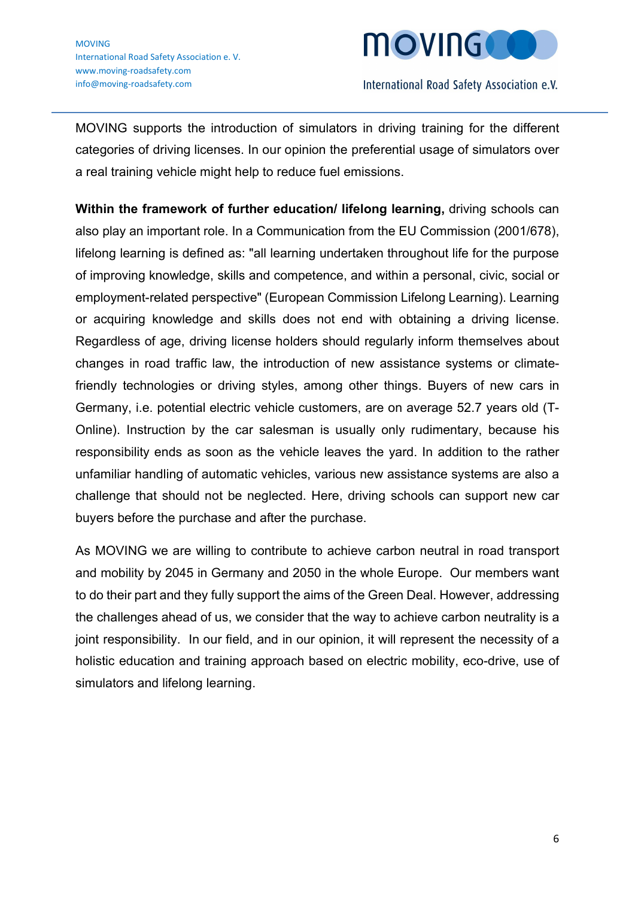

MOVING supports the introduction of simulators in driving training for the different categories of driving licenses. In our opinion the preferential usage of simulators over a real training vehicle might help to reduce fuel emissions.

Within the framework of further education/ lifelong learning, driving schools can also play an important role. In a Communication from the EU Commission (2001/678), lifelong learning is defined as: "all learning undertaken throughout life for the purpose of improving knowledge, skills and competence, and within a personal, civic, social or employment-related perspective" (European Commission Lifelong Learning). Learning or acquiring knowledge and skills does not end with obtaining a driving license. Regardless of age, driving license holders should regularly inform themselves about changes in road traffic law, the introduction of new assistance systems or climatefriendly technologies or driving styles, among other things. Buyers of new cars in Germany, i.e. potential electric vehicle customers, are on average 52.7 years old (T-Online). Instruction by the car salesman is usually only rudimentary, because his responsibility ends as soon as the vehicle leaves the yard. In addition to the rather unfamiliar handling of automatic vehicles, various new assistance systems are also a challenge that should not be neglected. Here, driving schools can support new car buyers before the purchase and after the purchase.

As MOVING we are willing to contribute to achieve carbon neutral in road transport and mobility by 2045 in Germany and 2050 in the whole Europe. Our members want to do their part and they fully support the aims of the Green Deal. However, addressing the challenges ahead of us, we consider that the way to achieve carbon neutrality is a joint responsibility. In our field, and in our opinion, it will represent the necessity of a holistic education and training approach based on electric mobility, eco-drive, use of simulators and lifelong learning.